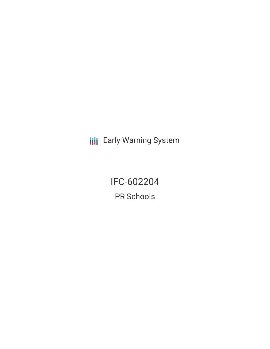**III** Early Warning System

IFC-602204 PR Schools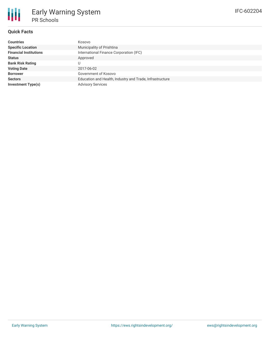# **Quick Facts**

| Kosovo                                                   |
|----------------------------------------------------------|
| Municipality of Prishtina                                |
| International Finance Corporation (IFC)                  |
| Approved                                                 |
|                                                          |
| 2017-06-02                                               |
| Government of Kosovo                                     |
| Education and Health, Industry and Trade, Infrastructure |
| <b>Advisory Services</b>                                 |
|                                                          |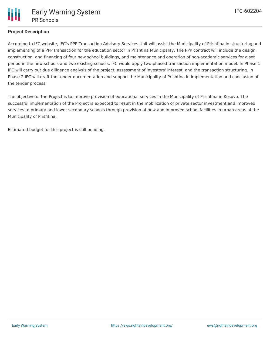

## **Project Description**

According to IFC website, IFC's PPP Transaction Advisory Services Unit will assist the Municipality of Prishtina in structuring and implementing of a PPP transaction for the education sector in Prishtina Municipality. The PPP contract will include the design, construction, and financing of four new school buildings, and maintenance and operation of non-academic services for a set period in the new schools and two existing schools. IFC would apply two-phased transaction implementation model. In Phase 1 IFC will carry out due diligence analysis of the project, assessment of investors' interest, and the transaction structuring. In Phase 2 IFC will draft the tender documentation and support the Municipality of Prishtina in implementation and conclusion of the tender process.

The objective of the Project is to improve provision of educational services in the Municipality of Prishtina in Kosovo. The successful implementation of the Project is expected to result in the mobilization of private sector investment and improved services to primary and lower secondary schools through provision of new and improved school facilities in urban areas of the Municipality of Prishtina.

Estimated budget for this project is still pending.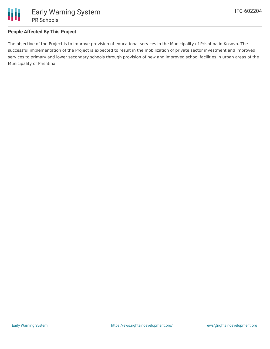

## **People Affected By This Project**

The objective of the Project is to improve provision of educational services in the Municipality of Prishtina in Kosovo. The successful implementation of the Project is expected to result in the mobilization of private sector investment and improved services to primary and lower secondary schools through provision of new and improved school facilities in urban areas of the Municipality of Prishtina.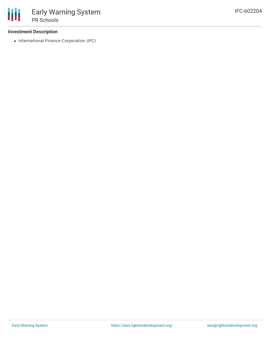### **Investment Description**

• International Finance Corporation (IFC)